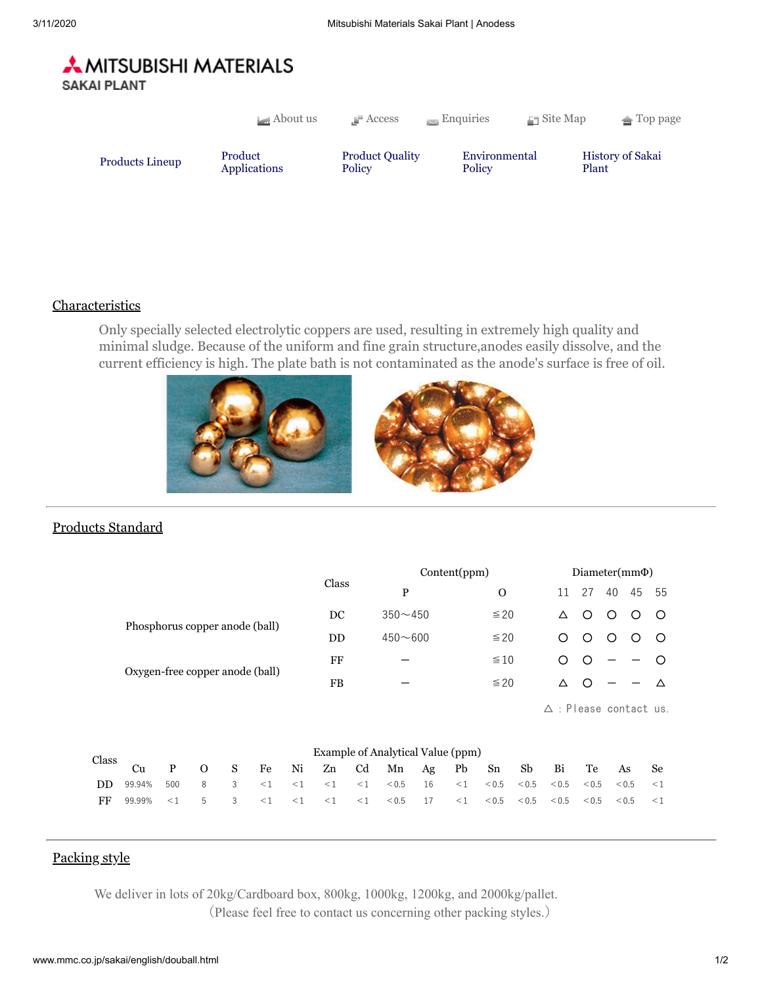

|                                   | $\Box$ About us | $\Gamma$ Access                  | $\equiv$ Enquiries      | $\Box$ Site Map | $\triangle$ Top page    |
|-----------------------------------|-----------------|----------------------------------|-------------------------|-----------------|-------------------------|
| Product<br><b>Products Lineup</b> | Applications    | <b>Product Quality</b><br>Policy | Environmental<br>Policy | Plant           | <b>History of Sakai</b> |

## Characteristics

Only specially selected electrolytic coppers are used, resulting in extremely high quality and minimal sludge. Because of the uniform and fine grain structure,anodes easily dissolve, and the current efficiency is high. The plate bath is not contaminated as the anode's surface is free of oil.



## Products Standard

|                                |                                 |           |             |              |              |           |             | Content(ppm)                      |           |           |              |     | $Diameter(mm\Phi)$ |    |              |    |                                  |                       |  |
|--------------------------------|---------------------------------|-----------|-------------|--------------|--------------|-----------|-------------|-----------------------------------|-----------|-----------|--------------|-----|--------------------|----|--------------|----|----------------------------------|-----------------------|--|
|                                |                                 |           |             |              |              |           | Class       | P                                 |           |           | $\mathbf{O}$ |     |                    | 11 | 27           | 40 | 45                               | 55                    |  |
| Phosphorus copper anode (ball) |                                 |           |             |              |              | DC        | $350 - 450$ |                                   |           | $\leq 20$ |              |     | Δ                  | ∩  | ∩            | ∩  | ◯                                |                       |  |
|                                |                                 | <b>DD</b> | $450 - 600$ |              |              | $\leq 20$ |             |                                   | ∩         | ∩         | ∩            |     | $\circ$            |    |              |    |                                  |                       |  |
|                                |                                 |           |             |              | FF           |           |             |                                   | $\leq 10$ |           |              | ∩   |                    |    |              |    |                                  |                       |  |
|                                | Oxygen-free copper anode (ball) |           |             |              |              | FB        |             |                                   |           | $\leq 20$ |              |     | Δ                  | C  |              |    | Δ                                |                       |  |
|                                |                                 |           |             |              |              |           |             |                                   |           |           |              |     |                    |    |              |    | $\triangle$ : Please contact us. |                       |  |
| Class                          |                                 |           |             |              |              |           |             | Example of Analytical Value (ppm) |           |           |              |     |                    |    |              |    |                                  |                       |  |
|                                | $C_{11}$                        | D         | $\Omega$    | $\mathbf{C}$ | $F_{\Omega}$ | Mi        |             | $7n$ Cd Mn $\Lambda$ g Dh         |           |           | $C_{n}$      | Ch. | P÷                 |    | $T_{\Omega}$ |    | $\Lambda$ $\alpha$               | $\mathbf{c}_{\alpha}$ |  |

| Class $C_1$ | Cu                                                                                    |  |  |  |  | P O S Fe Ni Zn Cd Mn Ag Pb Sn Sb Bi Te As Se |  |  |  |  |  |
|-------------|---------------------------------------------------------------------------------------|--|--|--|--|----------------------------------------------|--|--|--|--|--|
|             | <b>DD</b> 99.94% 500 8 3 <1 <1 <1 <1 <0.5 16 <1 <0.5 <0.5 <0.5 <0.5 <0.5 <0.5 <0.5 <1 |  |  |  |  |                                              |  |  |  |  |  |
|             |                                                                                       |  |  |  |  |                                              |  |  |  |  |  |

## Packing style

We deliver in lots of 20kg/Cardboard box, 800kg, 1000kg, 1200kg, and 2000kg/pallet. (Please feel free to contact us concerning other packing styles.)